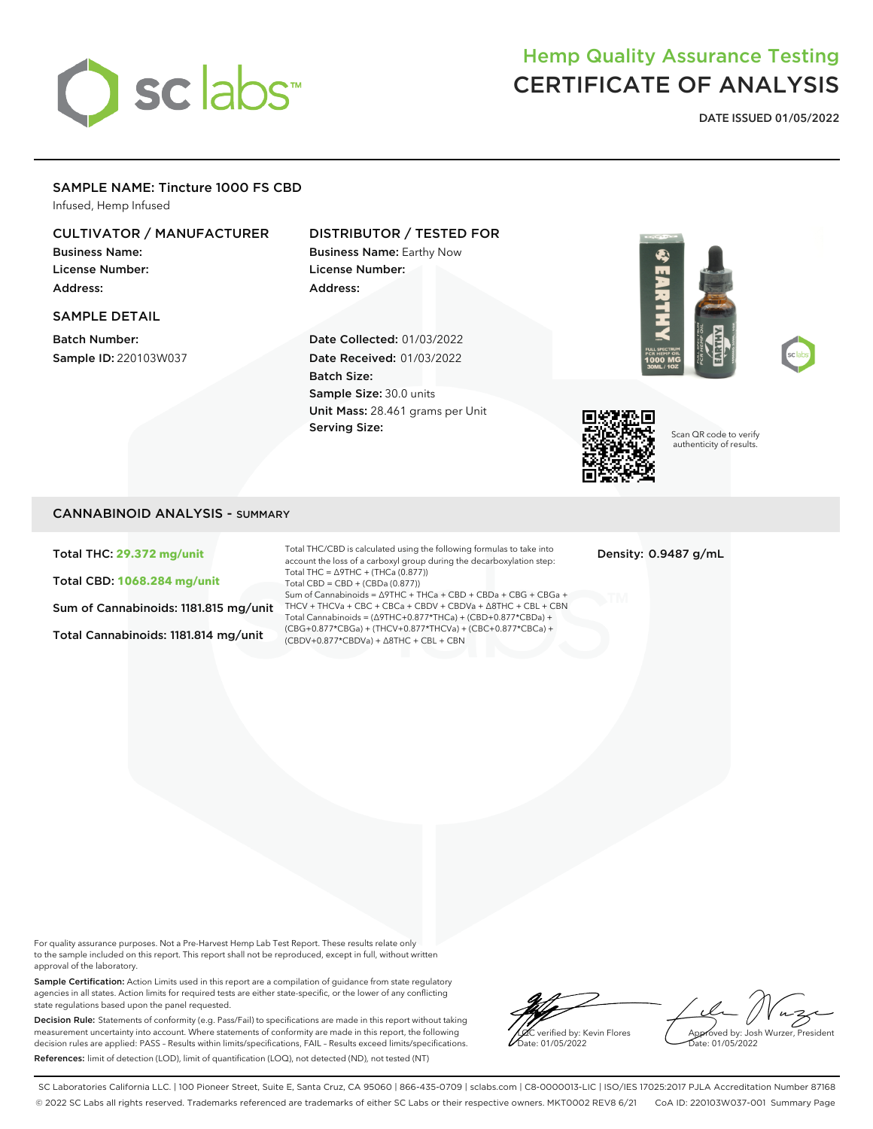# sclabs<sup>\*</sup>

## Hemp Quality Assurance Testing CERTIFICATE OF ANALYSIS

**DATE ISSUED 01/05/2022**

#### SAMPLE NAME: Tincture 1000 FS CBD

Infused, Hemp Infused

#### CULTIVATOR / MANUFACTURER

Business Name: License Number: Address:

#### SAMPLE DETAIL

Batch Number: Sample ID: 220103W037

#### DISTRIBUTOR / TESTED FOR

Business Name: Earthy Now License Number: Address:

Date Collected: 01/03/2022 Date Received: 01/03/2022 Batch Size: Sample Size: 30.0 units Unit Mass: 28.461 grams per Unit Serving Size:







Scan QR code to verify authenticity of results.

#### CANNABINOID ANALYSIS - SUMMARY

Total THC: **29.372 mg/unit**

Total CBD: **1068.284 mg/unit**

Sum of Cannabinoids: 1181.815 mg/unit

Total Cannabinoids: 1181.814 mg/unit

Total THC/CBD is calculated using the following formulas to take into account the loss of a carboxyl group during the decarboxylation step: Total THC = ∆9THC + (THCa (0.877)) Total CBD = CBD + (CBDa (0.877)) Sum of Cannabinoids = ∆9THC + THCa + CBD + CBDa + CBG + CBGa + THCV + THCVa + CBC + CBCa + CBDV + CBDVa + ∆8THC + CBL + CBN Total Cannabinoids = (∆9THC+0.877\*THCa) + (CBD+0.877\*CBDa) + (CBG+0.877\*CBGa) + (THCV+0.877\*THCVa) + (CBC+0.877\*CBCa) + (CBDV+0.877\*CBDVa) + ∆8THC + CBL + CBN

Density: 0.9487 g/mL

For quality assurance purposes. Not a Pre-Harvest Hemp Lab Test Report. These results relate only to the sample included on this report. This report shall not be reproduced, except in full, without written approval of the laboratory.

Sample Certification: Action Limits used in this report are a compilation of guidance from state regulatory agencies in all states. Action limits for required tests are either state-specific, or the lower of any conflicting state regulations based upon the panel requested.

Decision Rule: Statements of conformity (e.g. Pass/Fail) to specifications are made in this report without taking measurement uncertainty into account. Where statements of conformity are made in this report, the following decision rules are applied: PASS – Results within limits/specifications, FAIL – Results exceed limits/specifications. References: limit of detection (LOD), limit of quantification (LOQ), not detected (ND), not tested (NT)

verified by: Kevin Flores ate: 01/05/2022

Approved by: Josh Wurzer, President Date: 01/05/2022

SC Laboratories California LLC. | 100 Pioneer Street, Suite E, Santa Cruz, CA 95060 | 866-435-0709 | sclabs.com | C8-0000013-LIC | ISO/IES 17025:2017 PJLA Accreditation Number 87168 © 2022 SC Labs all rights reserved. Trademarks referenced are trademarks of either SC Labs or their respective owners. MKT0002 REV8 6/21 CoA ID: 220103W037-001 Summary Page